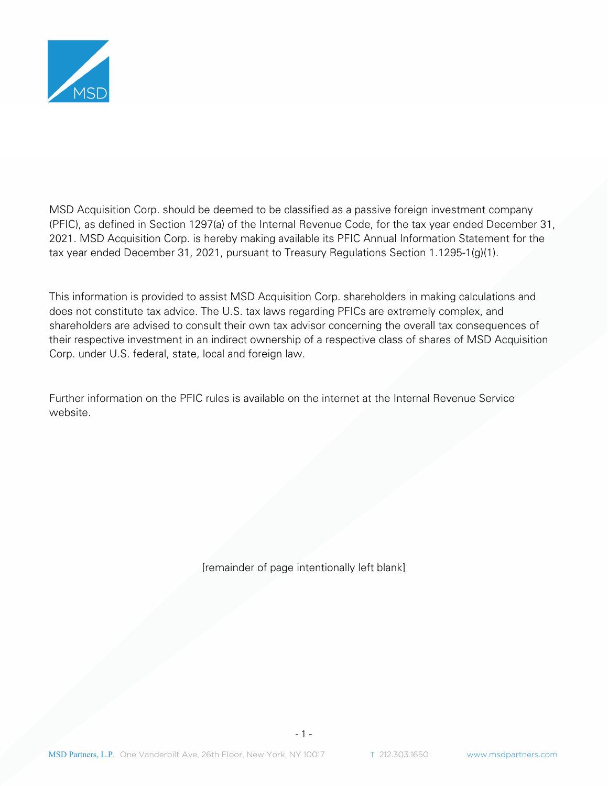

MSD Acquisition Corp. should be deemed to be classified as a passive foreign investment company (PFIC), as defined in Section 1297(a) of the Internal Revenue Code, for the tax year ended December 31, 2021. MSD Acquisition Corp. is hereby making available its PFIC Annual Information Statement for the tax year ended December 31, 2021, pursuant to Treasury Regulations Section 1.1295-1(g)(1).

This information is provided to assist MSD Acquisition Corp. shareholders in making calculations and does not constitute tax advice. The U.S. tax laws regarding PFICs are extremely complex, and shareholders are advised to consult their own tax advisor concerning the overall tax consequences of their respective investment in an indirect ownership of a respective class of shares of MSD Acquisition Corp. under U.S. federal, state, local and foreign law.

Further information on the PFIC rules is available on the internet at the Internal Revenue Service website.

[remainder of page intentionally left blank]